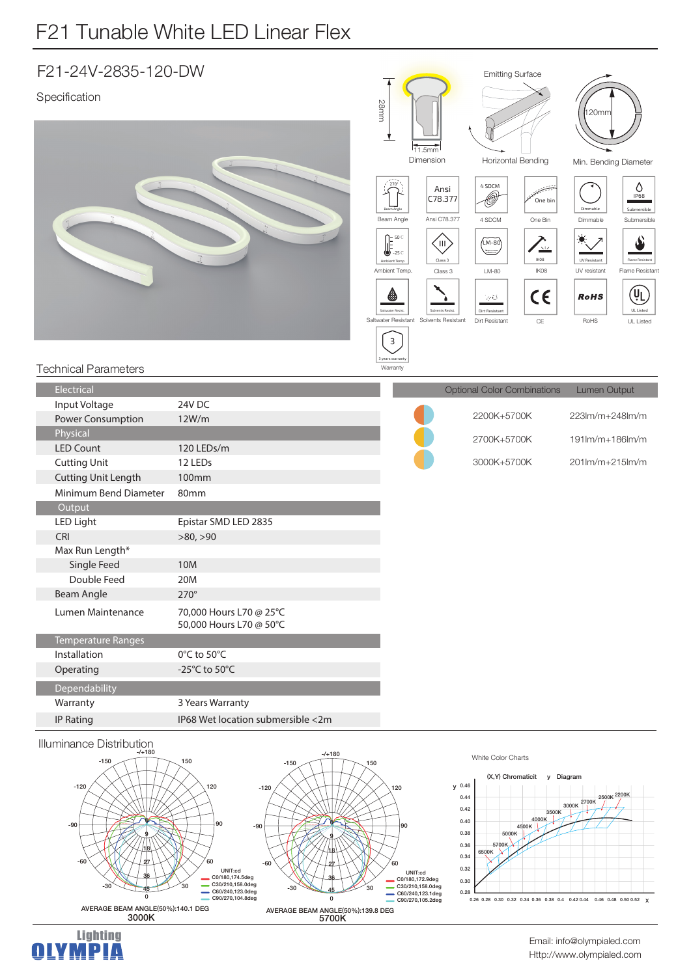## F21 Tunable White LED Linear Flex

| F21-24V-2835-120-DW                  |                                                    |           | <b>Emitting Surface</b>                                                                                                                                              |                                                                                                                                                  |                                                                                                                    |                                                                   |                                                                                                                      |                                                                                                                            |
|--------------------------------------|----------------------------------------------------|-----------|----------------------------------------------------------------------------------------------------------------------------------------------------------------------|--------------------------------------------------------------------------------------------------------------------------------------------------|--------------------------------------------------------------------------------------------------------------------|-------------------------------------------------------------------|----------------------------------------------------------------------------------------------------------------------|----------------------------------------------------------------------------------------------------------------------------|
| Specification                        |                                                    | 28mm<br>∽ | $270^\circ$<br>Beam Angle<br>Beam Angle<br>$\begin{bmatrix} 50 \text{ C} \\ -25 \text{ C} \end{bmatrix}$<br>Ambient Temp<br>Ambient Temp.<br>63<br>Saltwater Resist. | 11.5mm<br>Dimension<br>Ansi<br>C78.377<br>Ansi C78.377<br>ĆШ<br>Class 3<br>Class 3<br>Solvents Resist.<br>Saltwater Resistant Solvents Resistant | Horizontal Bending<br>4 SDCM<br>Ô<br>4 SDCM<br>$(M-80)$<br>كتنت<br>LM-80<br>50<br>Dirt Resistant<br>Dirt Resistant | One bin<br>One Bin<br>$\sum_{\omega}$<br>IK08<br>IK08<br>CE<br>CE | 120mm<br>Min. Bending Diameter<br>Dimmable<br>Dimmable<br><b>UV Resistant</b><br>UV resistant<br><b>RoHS</b><br>RoHS | O<br>IP68<br>Submersible<br>Submersible<br>Æ<br>Flame Resistant<br>Flame Resistant<br>(VL<br><b>UL Listed</b><br>UL Listed |
| <b>Technical Parameters</b>          |                                                    |           | $\overline{\mathbf{3}}$<br>3 years warranty<br>Warranty                                                                                                              |                                                                                                                                                  |                                                                                                                    |                                                                   |                                                                                                                      |                                                                                                                            |
| Electrical                           |                                                    |           |                                                                                                                                                                      |                                                                                                                                                  | <b>Optional Color Combinations</b>                                                                                 |                                                                   | Lumen Output                                                                                                         |                                                                                                                            |
| Input Voltage                        | 24V DC                                             |           |                                                                                                                                                                      |                                                                                                                                                  | 2200K+5700K                                                                                                        |                                                                   | 223lm/m+248lm/m                                                                                                      |                                                                                                                            |
| <b>Power Consumption</b><br>Physical | 12W/m                                              |           |                                                                                                                                                                      |                                                                                                                                                  |                                                                                                                    |                                                                   |                                                                                                                      |                                                                                                                            |
| <b>LED Count</b>                     | 120 LEDs/m                                         |           |                                                                                                                                                                      |                                                                                                                                                  | 2700K+5700K                                                                                                        |                                                                   | 191lm/m+186lm/m                                                                                                      |                                                                                                                            |
| <b>Cutting Unit</b>                  | 12 LEDs                                            |           |                                                                                                                                                                      |                                                                                                                                                  | 3000K+5700K                                                                                                        |                                                                   | 201lm/m+215lm/m                                                                                                      |                                                                                                                            |
| <b>Cutting Unit Length</b>           | <b>100mm</b>                                       |           |                                                                                                                                                                      |                                                                                                                                                  |                                                                                                                    |                                                                   |                                                                                                                      |                                                                                                                            |
| Minimum Bend Diameter                | 80mm                                               |           |                                                                                                                                                                      |                                                                                                                                                  |                                                                                                                    |                                                                   |                                                                                                                      |                                                                                                                            |
| Output                               |                                                    |           |                                                                                                                                                                      |                                                                                                                                                  |                                                                                                                    |                                                                   |                                                                                                                      |                                                                                                                            |
| <b>LED Light</b>                     | Epistar SMD LED 2835                               |           |                                                                                                                                                                      |                                                                                                                                                  |                                                                                                                    |                                                                   |                                                                                                                      |                                                                                                                            |
| <b>CRI</b>                           | >80, >90                                           |           |                                                                                                                                                                      |                                                                                                                                                  |                                                                                                                    |                                                                   |                                                                                                                      |                                                                                                                            |
| Max Run Length*<br>Single Feed       |                                                    |           |                                                                                                                                                                      |                                                                                                                                                  |                                                                                                                    |                                                                   |                                                                                                                      |                                                                                                                            |
| Double Feed                          | <b>10M</b><br>20M                                  |           |                                                                                                                                                                      |                                                                                                                                                  |                                                                                                                    |                                                                   |                                                                                                                      |                                                                                                                            |
| <b>Beam Angle</b>                    | $270^\circ$                                        |           |                                                                                                                                                                      |                                                                                                                                                  |                                                                                                                    |                                                                   |                                                                                                                      |                                                                                                                            |
| Lumen Maintenance                    | 70,000 Hours L70 @ 25°C<br>50,000 Hours L70 @ 50°C |           |                                                                                                                                                                      |                                                                                                                                                  |                                                                                                                    |                                                                   |                                                                                                                      |                                                                                                                            |
| Temperature Ranges                   |                                                    |           |                                                                                                                                                                      |                                                                                                                                                  |                                                                                                                    |                                                                   |                                                                                                                      |                                                                                                                            |
| Installation                         | 0°C to 50°C                                        |           |                                                                                                                                                                      |                                                                                                                                                  |                                                                                                                    |                                                                   |                                                                                                                      |                                                                                                                            |
| Operating                            | -25°C to 50°C                                      |           |                                                                                                                                                                      |                                                                                                                                                  |                                                                                                                    |                                                                   |                                                                                                                      |                                                                                                                            |
| Dependability                        |                                                    |           |                                                                                                                                                                      |                                                                                                                                                  |                                                                                                                    |                                                                   |                                                                                                                      |                                                                                                                            |
| Warranty                             | 3 Years Warranty                                   |           |                                                                                                                                                                      |                                                                                                                                                  |                                                                                                                    |                                                                   |                                                                                                                      |                                                                                                                            |
| <b>IP Rating</b>                     | IP68 Wet location submersible <2m                  |           |                                                                                                                                                                      |                                                                                                                                                  |                                                                                                                    |                                                                   |                                                                                                                      |                                                                                                                            |
| Illuminance Distribution             |                                                    |           |                                                                                                                                                                      |                                                                                                                                                  |                                                                                                                    |                                                                   |                                                                                                                      |                                                                                                                            |





White Color Charts



Http://www.olympialed.com Email: info@olympialed.com